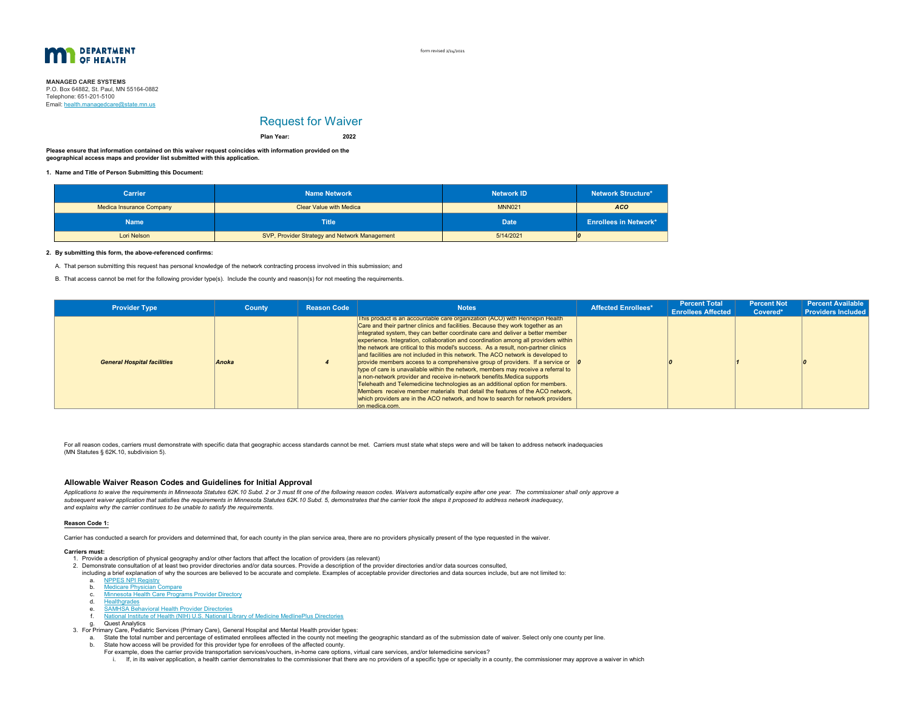

form revised 2/24/2021

**MANAGED CARE SYSTEMS** P.O. Box 64882, St. Paul, MN 55164-0882 Email: <u>health.managedcare@state.mn.us</u> Telephone: 651-201-5100

# Request for Waiver

**2022Plan Year:**

**Please ensure that information contained on this waiver request coincides with information provided on the geographical access maps and provider list submitted with this application.**

**1.Name and Title of Person Submitting this Document:**

| <b>Carrier</b>                  | <b>Name Network</b>                           | <b>Network ID</b> | <b>Network Structure*</b>    |  |  |
|---------------------------------|-----------------------------------------------|-------------------|------------------------------|--|--|
| <b>Medica Insurance Company</b> | <b>Clear Value with Medica</b>                | <b>MNN021</b>     |                              |  |  |
| <b>Name</b>                     | <b>Title</b>                                  | <b>Date</b>       | <b>Enrollees in Network*</b> |  |  |
| Lori Nelson                     | SVP, Provider Strategy and Network Management | 5/14/2021         |                              |  |  |

### **2. By submitting this form, the above-referenced confirms:**

A. That person submitting this request has personal knowledge of the network contracting process involved in this submission; and

B. That access cannot be met for the following provider type(s). Include the county and reason(s) for not meeting the requirements.

| <b>Provider Type</b>               | <b>County</b> | <b>Reason Code</b> | <b>Notes</b>                                                                                                                                                                                                                                                                                                                                                                                                                                                                                                                                                                                                                                                                                                                                                                                                                                                                                                                                                                                                                                     | <b>Affected Enrollees*</b> | <b>Percent Total</b><br><b>Enrollees Affected</b> | <b>Percent Not</b><br>Covered* | <b>Percent Available</b><br><b>Providers Included</b> |
|------------------------------------|---------------|--------------------|--------------------------------------------------------------------------------------------------------------------------------------------------------------------------------------------------------------------------------------------------------------------------------------------------------------------------------------------------------------------------------------------------------------------------------------------------------------------------------------------------------------------------------------------------------------------------------------------------------------------------------------------------------------------------------------------------------------------------------------------------------------------------------------------------------------------------------------------------------------------------------------------------------------------------------------------------------------------------------------------------------------------------------------------------|----------------------------|---------------------------------------------------|--------------------------------|-------------------------------------------------------|
| <b>General Hospital facilities</b> | Anoka         |                    | This product is an accountable care organization (ACO) with Hennepin Health<br>Care and their partner clinics and facilities. Because they work together as an<br>integrated system, they can better coordinate care and deliver a better member<br>experience. Integration, collaboration and coordination among all providers within<br>the network are critical to this model's success. As a result, non-partner clinics<br>and facilities are not included in this network. The ACO network is developed to<br>provide members access to a comprehensive group of providers. If a service or $\theta$<br>type of care is unavailable within the network, members may receive a referral to<br>a non-network provider and receive in-network benefits. Medica supports<br>Teleheath and Telemedicine technologies as an additional option for members.<br>Members receive member materials that detail the features of the ACO network.<br>which providers are in the ACO network, and how to search for network providers<br>on medica.com. |                            |                                                   |                                |                                                       |

For all reason codes, carriers must demonstrate with specific data that geographic access standards cannot be met. Carriers must state what steps were and will be taken to address network inadequacies (MN Statutes § 62K.10, subdivision 5).

## **Allowable Waiver Reason Codes and Guidelines for Initial Approval**

Applications to waive the requirements in Minnesota Statutes 62K.10 Subd. 2 or 3 must fit one of the following reason codes. Waivers automatically expire after one year. The commissioner shall only approve a *subsequent waiver application that satisfies the requirements in Minnesota Statutes 62K.10 Subd. 5, demonstrates that the carrier took the steps it proposed to address network inadequacy, and explains why the carrier continues to be unable to satisfy the requirements.*

#### **Reason Code 1:**

Carrier has conducted a search for providers and determined that, for each county in the plan service area, there are no providers physically present of the type requested in the waiver.

#### **Carriers must:**

- 1. Provide a description of physical geography and/or other factors that affect the location of providers (as relevant)
- 2. Demonstrate consultation of at least two provider directories and/or data sources. Provide a description of the provider directories and/or data sources consulted,
- including a brief explanation of why the sources are believed to be accurate and complete. Examples of acceptable provider directories and data sources include, but are not limited to:
	- a. NPPES NPI Registry
	- b. Medicare Physician Compare
	- c. Minnesota Health Care Programs Provider Directory
	- d. Healthgrades
	- e.
	- SAMHSA Behavioral Health Provider Directories National Institute of Health (NIH) U.S. National Library of Medicine MedlinePlus Directories f.
- g. Quest Analytics
- 3. For Primary Care, Pediatric Services (Primary Care), General Hospital and Mental Health provider types:
	- a. State the total number and percentage of estimated enrollees affected in the county not meeting the geographic standard as of the submission date of waiver. Select only one county per line. b. State how access will be provided for this provider type for enrollees of the affected county.
		- For example, does the carrier provide transportation services/vouchers, in-home care options, virtual care services, and/or telemedicine services?
		- i. If, in its waiver application, a health carrier demonstrates to the commissioner that there are no providers of a specific type or specialty in a county, the commissioner may approve a waiver in which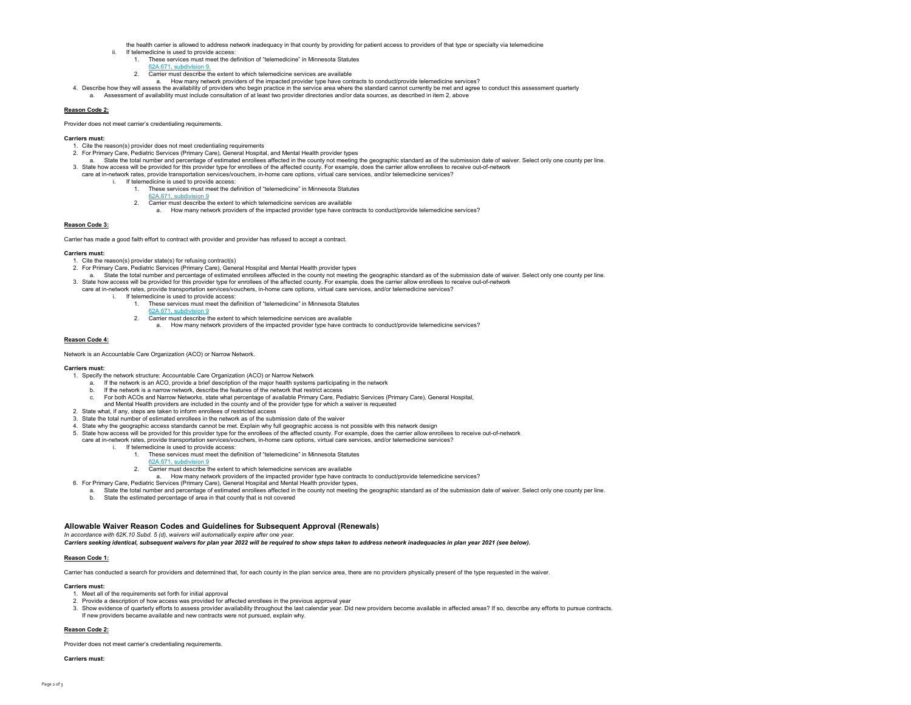- the health carrier is allowed to address network inadequacy in that county by providing for patient access to providers of that type or specialty via telemedicine
- If telemedicine is used to provide access:
	- 1. These services must meet the definition of "telemedicine" in Minnesota Statutes
	- 62A.671, subdivision 9.
	- 2. Carrier must describe the extent to which telemedicine services are available
	- a. How many network providers of the impacted provider type have contracts to conduct/provide telemedicine services?
- 4. Describe how they will assess the availability of providers who begin practice in the service area where the standard cannot currently be met and agree to conduct this assessment quarterly a. Assessment of availability must include consultation of at least two provider directories and/or data sources, as described in item 2, above

### **Reason Code 2:**

Provider does not meet carrier's credentialing requirements.

#### **Carriers must:**

- 1. Cite the reason(s) provider does not meet credentialing requirements
- 2. For Primary Care, Pediatric Services (Primary Care), General Hospital, and Mental Health provider types
- a. State the total number and percentage of estimated enrollees affected in the county not meeting the geographic standard as of the submission date of waiver. Select only one county per line. 3. State how access will be provided for this provider type for enrollees of the affected county. For example, does the carrier allow enrollees to receive out-of-network
- care at in-network rates, provide transportation services/vouchers, in-home care options, virtual care services, and/or telemedicine services?
	- If telemedicine is used to provide access:
		- 1. These services must meet the definition of "telemedicine" in Minnesota Statutes
			- 62A.671, subdivision 9
		- 2. Carrier must describe the extent to which telemedicine services are available
			- a. How many network providers of the impacted provider type have contracts to conduct/provide telemedicine services?

#### **Reason Code 3:**

Carrier has made a good faith effort to contract with provider and provider has refused to accept a contract.

#### **Carriers must:**

- 1. Cite the reason(s) provider state(s) for refusing contract(s)
- 2. For Primary Care, Pediatric Services (Primary Care), General Hospital and Mental Health provider types
- a. State the total number and percentage of estimated enrollees affected in the county not meeting the geographic standard as of the submission date of waiver. Select only one county per line. 3. State how access will be provided for this provider type for enrollees of the affected county. For example, does the carrier allow enrollees to receive out-of-network
	- care at in-network rates, provide transportation services/vouchers, in-home care options, virtual care services, and/or telemedicine services? If telemedicine is used to provide access:
		- 1. These services must meet the definition of "telemedicine" in Minnesota Statutes
		- 62A.671, subdivision 9
		- 2. Carrier must describe the extent to which telemedicine services are available
			- a. How many network providers of the impacted provider type have contracts to conduct/provide telemedicine services?

#### **Reason Code 4:**

Network is an Accountable Care Organization (ACO) or Narrow Network.

#### **Carriers must:**

- 1. Specify the network structure: Accountable Care Organization (ACO) or Narrow Network
	- a. If the network is an ACO, provide a brief description of the major health systems participating in the network
	- b. If the network is a narrow network, describe the features of the network that restrict access
	- c. For both ACOs and Narrow Networks, state what percentage of available Primary Care, Pediatric Services (Primary Care), General Hospital,
	- and Mental Health providers are included in the county and of the provider type for which a waiver is requested
- 2. State what, if any, steps are taken to inform enrollees of restricted access
- 3. State the total number of estimated enrollees in the network as of the submission date of the waiver
- 4. State why the geographic access standards cannot be met. Explain why full geographic access is not possible with this network design
- 5. State how access will be provided for this provider type for the enrollees of the affected county. For example, does the carrier allow enrollees to receive out-of-network
- care at in-network rates, provide transportation services/vouchers, in-home care options, virtual care services, and/or telemedicine services?
	- i. If telemedicine is used to provide access:
		- 1. These services must meet the definition of "telemedicine" in Minnesota Statutes
		- 62A.671, subdivision 9
			- 2. Carrier must describe the extent to which telemedicine services are available
				- a. How many network providers of the impacted provider type have contracts to conduct/provide telemedicine services?
- 6. For Primary Care, Pediatric Services (Primary Care), General Hospital and Mental Health provider types,
- a. State the total number and percentage of estimated enrollees affected in the county not meeting the geographic standard as of the submission date of waiver. Select only one county per line. b. State the estimated percentage of area in that county that is not covered

#### **Allowable Waiver Reason Codes and Guidelines for Subsequent Approval (Renewals)**

*In accordance with 62K.10 Subd. 5 (d), waivers will automatically expire after one year.* 

*Carriers seeking identical, subsequent waivers for plan year 2022 will be required to show steps taken to address network inadequacies in plan year 2021 (see below).*

#### **Reason Code 1:**

Carrier has conducted a search for providers and determined that, for each county in the plan service area, there are no providers physically present of the type requested in the waiver.

## **Carriers must:**

- 1. Meet all of the requirements set forth for initial approval
- 2. Provide a description of how access was provided for affected enrollees in the previous approval year
- 3. Show evidence of quarterly efforts to assess provider availability throughout the last calendar year. Did new providers become available in affected areas? If so, describe any efforts to pursue contracts.
- If new providers became available and new contracts were not pursued, explain why.

## **Reason Code 2:**

Provider does not meet carrier's credentialing requirements.

## **Carriers must:**